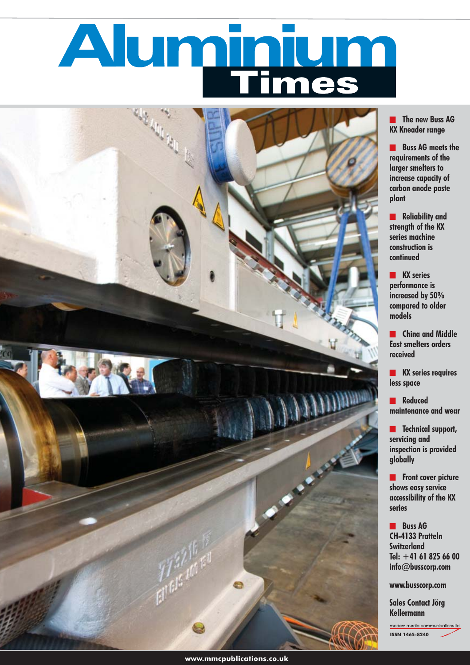# Aluminium



**The new Buss AG KX Kneader range**

**Notainal Buss AG meets the requirements of the larger smelters to increase capacity of carbon anode paste plant**

**Exercise 2 Reliability and strength of the KX series machine construction is continued**

**NX** series **performance is increased by 50% compared to older models**

**Expand Middle East smelters orders received**

**KX series requires less space**

**Executed maintenance and wear**

**Expanding Technical support, servicing and inspection is provided globally**

**Front cover picture shows easy service accessibility of the KX series**

**<u><b>R**</u> Buss AG **CH-4133 Pratteln Switzerland Tel: +41 61 825 66 00 info@busscorp.com**

**www.busscorp.com**

**Sales Contact Jörg Kellermann** 

modern media communications (td **ISSN 1465-8240**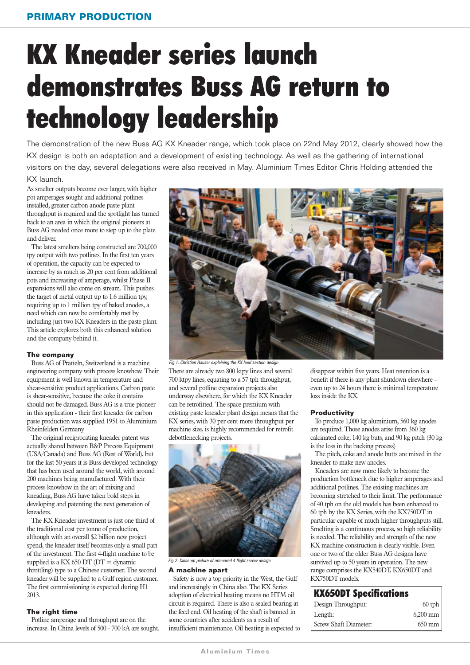## KX Kneader series launch demonstrates Buss AG return to technology leadership

The demonstration of the new Buss AG KX Kneader range, which took place on 22nd May 2012, clearly showed how the KX design is both an adaptation and a development of existing technology. As well as the gathering of international visitors on the day, several delegations were also received in May. Aluminium Times Editor Chris Holding attended the

#### KX launch.

As smelter outputs become ever larger, with higher pot amperages sought and additional potlines installed, greater carbon anode paste plant throughput is required and the spotlight has turned back to an area in which the original pioneers at Buss AG needed once more to step up to the plate and deliver.

The latest smelters being constructed are 700,000 tpy output with two potlines. In the first ten years of operation, the capacity can be expected to increase by as much as 20 per cent from additional pots and increasing of amperage, whilst Phase II expansions will also come on stream. This pushes the target of metal output up to 1.6 million tpy, requiring up to 1 million tpy of baked anodes, a need which can now be comfortably met by including just two KX Kneaders in the paste plant. This article explores both this enhanced solution and the company behind it.

#### **The company**

Buss AG of Pratteln, Switzerland is a machine engineering company with process knowhow. Their equipment is well known in temperature and shear-sensitive product applications. Carbon paste is shear-sensitive, because the coke it contains should not be damaged. Buss AG is a true pioneer in this application - their first kneader for carbon paste production was supplied 1951 to Aluminium Rheinfelden Germany

The original reciprocating kneader patent was actually shared between B&P Process Equipment (USA/Canada) and Buss AG (Rest of World), but for the last 50 years it is Buss-developed technology that has been used around the world, with around 200 machines being manufactured. With their process knowhow in the art of mixing and kneading, Buss AG have taken bold steps in developing and patenting the next generation of kneaders.

The KX Kneader investment is just one third of the traditional cost per tonne of production, although with an overall \$2 billion new project spend, the kneader itself becomes only a small part of the investment. The first 4-flight machine to be supplied is a KX 650 DT (DT = dynamic throttling) type to a Chinese customer. The second kneader will be supplied to a Gulf region customer. The first commissioning is expected during H1 2013.

#### **The right time**

Potline amperage and throughput are on the increase. In China levels of 500 - 700 kA are sought.



There are already two 800 ktpy lines and several 700 ktpy lines, equating to a 57 tph throughput, and several potline expansion projects also underway elsewhere, for which the KX Kneader can be retrofitted. The space premium with existing paste kneader plant design means that the KX series, with 30 per cent more throughput per machine size, is highly recommended for retrofit debottlenecking projects. *Fig 1. Christian Hauser explaining the KX feed section design*



*Fig 2. Close-up picture of armoured 4-flight screw design* 

#### **A machine apart**

Safety is now a top priority in the West, the Gulf and increasingly in China also. The KX Series adoption of electrical heating means no HTM oil circuit is required. There is also a sealed bearing at the feed end. Oil heating of the shaft is banned in some countries after accidents as a result of insufficient maintenance. Oil heating is expected to disappear within five years. Heat retention is a benefit if there is any plant shutdown elsewhere – even up to 24 hours there is minimal temperature loss inside the KX.

#### **Productivity**

To produce 1,000 kg aluminium, 560 kg anodes are required. Those anodes arise from 360 kg calcinated coke, 140 kg buts, and 90 kg pitch (30 kg is the loss in the backing process)

The pitch, coke and anode butts are mixed in the kneader to make new anodes.

Kneaders are now more likely to become the production bottleneck due to higher amperages and additional potlines. The existing machines are becoming stretched to their limit. The performance of 40 tph on the old models has been enhanced to 60 tph by the KX Series, with the KX750DT in particular capable of much higher throughputs still. Smelting is a continuous process, so high reliability is needed. The reliability and strength of the new KX machine construction is clearly visible. Even one or two of the older Buss AG designs have survived up to 50 years in operation. The new range comprises the KX540DT, KX650DT and KX750DT models.

#### KX650DT Specifications

| Design Throughput:    | $60$ tph         |
|-----------------------|------------------|
| Length:               | $6,200$ mm       |
| Screw Shaft Diameter: | $650 \text{ mm}$ |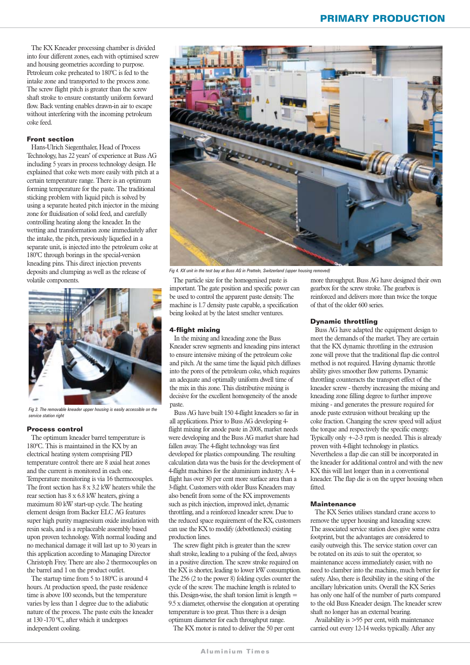The KX Kneader processing chamber is divided into four different zones, each with optimised screw and housing geometries according to purpose. Petroleum coke preheated to 180°C is fed to the intake zone and transported to the process zone. The screw flight pitch is greater than the screw shaft stroke to ensure constantly uniform forward flow. Back venting enables drawn-in air to escape without interfering with the incoming petroleum coke feed.

#### **Front section**

Hans-Ulrich Siegenthaler, Head of Process Technology, has 22 years' of experience at Buss AG including 5 years in process technology design. He explained that coke wets more easily with pitch at a certain temperature range. There is an optimum forming temperature for the paste. The traditional sticking problem with liquid pitch is solved by using a separate heated pitch injector in the mixing zone for fluidisation of solid feed, and carefully controlling heating along the kneader. In the wetting and transformation zone immediately after the intake, the pitch, previously liquefied in a separate unit, is injected into the petroleum coke at 180°C through borings in the special-version kneading pins. This direct injection prevents deposits and clumping as well as the release of volatile components.



*Fig 3. The removable kneader upper housing is easily accessible on the service station right*

#### **Process control**

The optimum kneader barrel temperature is 180ºC. This is maintained in the KX by an electrical heating system comprising PID temperature control: there are 8 axial heat zones and the current is monitored in each one. Temperature monitoring is via 16 thermocouples. The front section has 8 x 3.2 kW heaters while the rear section has 8 x 6.8 kW heaters, giving a maximum 80 kW start-up cycle. The heating element design from Backer ELC AG features super high purity magnesium oxide insulation with resin seals, and is a replaceable assembly based upon proven technology. With normal loading and no mechanical damage it will last up to 30 years in this application according to Managing Director Christoph Frey. There are also 2 thermocouples on the barrel and 1 on the product outlet.

The startup time from 5 to 180ºC is around 4 hours. At production speed, the paste residence time is above 100 seconds, but the temperature varies by less than 1 degree due to the adiabatic nature of the process. The paste exits the kneader at 130 -170 ºC, after which it undergoes independent cooling.



*Fig 4. KX unit in the test bay at Buss AG in Pratteln, Switzerland (upper housing removed)*

The particle size for the homogenised paste is important. The gate position and specific power can be used to control the apparent paste density. The machine is 1.7 density paste capable, a specification being looked at by the latest smelter ventures.

#### **4-flight mixing**

In the mixing and kneading zone the Buss Kneader screw segments and kneading pins interact to ensure intensive mixing of the petroleum coke and pitch. At the same time the liquid pitch diffuses into the pores of the petroleum coke, which requires an adequate and optimally uniform dwell time of the mix in this zone. This distributive mixing is decisive for the excellent homogeneity of the anode paste.

Buss AG have built 150 4-flight kneaders so far in all applications. Prior to Buss AG developing 4 flight mixing for anode paste in 2008, market needs were developing and the Buss AG market share had fallen away. The 4-flight technology was first developed for plastics compounding. The resulting calculation data was the basis for the development of 4-flight machines for the aluminium industry. A 4 flight has over 30 per cent more surface area than a 3-flight. Customers with older Buss Kneaders may also benefit from some of the KX improvements such as pitch injection, improved inlet, dynamic throttling, and a reinforced kneader screw. Due to the reduced space requirement of the KX, customers can use the KX to modify (debottleneck) existing production lines.

The screw flight pitch is greater than the screw shaft stroke, leading to a pulsing of the feed, always in a positive direction. The screw stroke required on the KX is shorter, leading to lower kW consumption. The 256 (2 to the power 8) folding cycles counter the cycle of the screw. The machine length is related to this. Design-wise, the shaft torsion limit is length  $=$ 9.5 x diameter, otherwise the elongation at operating temperature is too great. Thus there is a design optimum diameter for each throughput range.

The KX motor is rated to deliver the 50 per cent

more throughput. Buss AG have designed their own gearbox for the screw stroke. The gearbox is reinforced and delivers more than twice the torque of that of the older 600 series.

#### **Dynamic throttling**

Buss AG have adapted the equipment design to meet the demands of the market. They are certain that the KX dynamic throttling in the extrusion zone will prove that the traditional flap die control method is not required. Having dynamic throttle ability gives smoother flow patterns. Dynamic throttling counteracts the transport effect of the kneader screw - thereby increasing the mixing and kneading zone filling degree to further improve mixing - and generates the pressure required for anode paste extrusion without breaking up the coke fraction. Changing the screw speed will adjust the torque and respectively the specific energy. Typically only +-2-3 rpm is needed. This is already proven with 4-flight technology in plastics. Nevertheless a flap die can still be incorporated in the kneader for additional control and with the new KX this will last longer than in a conventional kneader. The flap die is on the upper housing when fitted.

#### **Maintenance**

The KX Series utilises standard crane access to remove the upper housing and kneading screw. The associated service station does give some extra footprint, but the advantages are considered to easily outweigh this. The service station cover can be rotated on its axis to suit the operator, so maintenance access immediately easier, with no need to clamber into the machine, much better for safety. Also, there is flexibility in the siting of the ancillary lubrication units. Overall the KX Series has only one half of the number of parts compared to the old Buss Kneader design. The kneader screw shaft no longer has an external bearing.

Availability is >95 per cent, with maintenance carried out every 12-14 weeks typically. After any